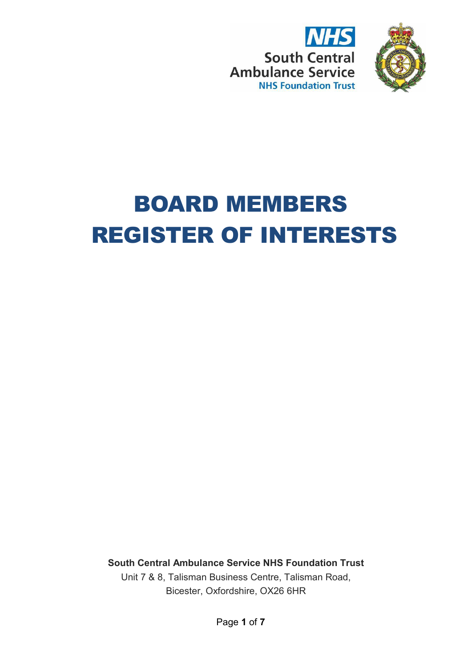



# BOARD MEMBERS REGISTER OF INTERESTS

**South Central Ambulance Service NHS Foundation Trust**

Unit 7 & 8, Talisman Business Centre, Talisman Road, Bicester, Oxfordshire, OX26 6HR

Page **1** of **7**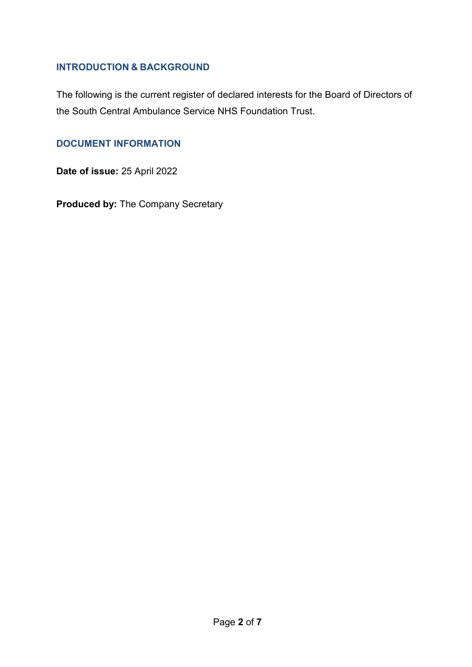## **INTRODUCTION & BACKGROUND**

The following is the current register of declared interests for the Board of Directors of the South Central Ambulance Service NHS Foundation Trust.

## **DOCUMENT INFORMATION**

**Date of issue:** 25 April 2022

**Produced by:** The Company Secretary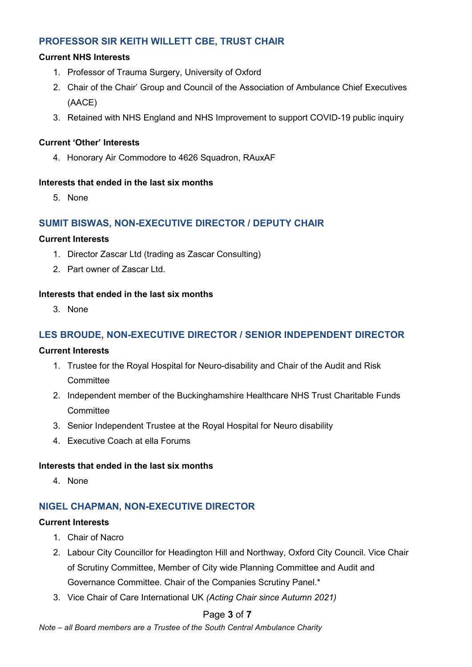## **PROFESSOR SIR KEITH WILLETT CBE, TRUST CHAIR**

## **Current NHS Interests**

- 1. Professor of Trauma Surgery, University of Oxford
- 2. Chair of the Chair' Group and Council of the Association of Ambulance Chief Executives (AACE)
- 3. Retained with NHS England and NHS Improvement to support COVID-19 public inquiry

#### **Current 'Other' Interests**

4. Honorary Air Commodore to 4626 Squadron, RAuxAF

#### **Interests that ended in the last six months**

5. None

## **SUMIT BISWAS, NON-EXECUTIVE DIRECTOR / DEPUTY CHAIR**

#### **Current Interests**

- 1. Director Zascar Ltd (trading as Zascar Consulting)
- 2. Part owner of Zascar Ltd.

#### **Interests that ended in the last six months**

3. None

## **LES BROUDE, NON-EXECUTIVE DIRECTOR / SENIOR INDEPENDENT DIRECTOR**

#### **Current Interests**

- 1. Trustee for the Royal Hospital for Neuro-disability and Chair of the Audit and Risk **Committee**
- 2. Independent member of the Buckinghamshire Healthcare NHS Trust Charitable Funds **Committee**
- 3. Senior Independent Trustee at the Royal Hospital for Neuro disability
- 4. Executive Coach at ella Forums

#### **Interests that ended in the last six months**

4. None

## **NIGEL CHAPMAN, NON-EXECUTIVE DIRECTOR**

## **Current Interests**

- 1. Chair of Nacro
- 2. Labour City Councillor for Headington Hill and Northway, Oxford City Council. Vice Chair of Scrutiny Committee, Member of City wide Planning Committee and Audit and Governance Committee. Chair of the Companies Scrutiny Panel.\*
- 3. Vice Chair of Care International UK *(Acting Chair since Autumn 2021)*

#### Page **3** of **7**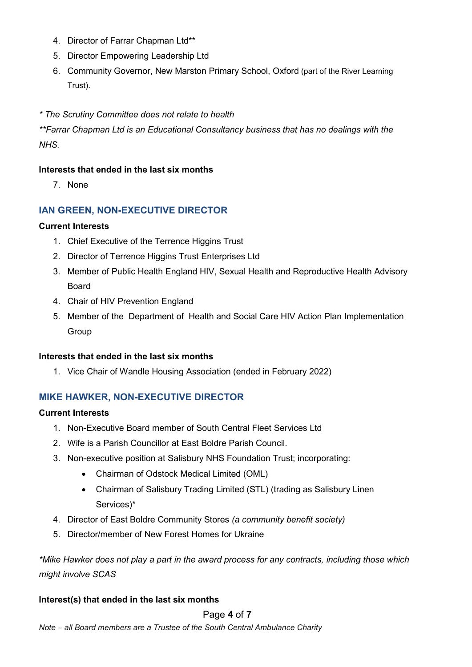- 4. Director of Farrar Chapman Ltd\*\*
- 5. Director Empowering Leadership Ltd
- 6. Community Governor, New Marston Primary School, Oxford (part of the River Learning Trust).
- *\* The Scrutiny Committee does not relate to health*

*\*\*Farrar Chapman Ltd is an Educational Consultancy business that has no dealings with the NHS.*

## **Interests that ended in the last six months**

7. None

## **IAN GREEN, NON-EXECUTIVE DIRECTOR**

## **Current Interests**

- 1. Chief Executive of the Terrence Higgins Trust
- 2. Director of Terrence Higgins Trust Enterprises Ltd
- 3. Member of Public Health England HIV, Sexual Health and Reproductive Health Advisory Board
- 4. Chair of HIV Prevention England
- 5. Member of the Department of Health and Social Care HIV Action Plan Implementation **Group**

#### **Interests that ended in the last six months**

1. Vice Chair of Wandle Housing Association (ended in February 2022)

## **MIKE HAWKER, NON-EXECUTIVE DIRECTOR**

## **Current Interests**

- 1. Non-Executive Board member of South Central Fleet Services Ltd
- 2. Wife is a Parish Councillor at East Boldre Parish Council.
- 3. Non-executive position at Salisbury NHS Foundation Trust; incorporating:
	- Chairman of Odstock Medical Limited (OML)
	- Chairman of Salisbury Trading Limited (STL) (trading as Salisbury Linen Services)\*
- 4. Director of East Boldre Community Stores *(a community benefit society)*
- 5. Director/member of New Forest Homes for Ukraine

*\*Mike Hawker does not play a part in the award process for any contracts, including those which might involve SCAS*

#### **Interest(s) that ended in the last six months**

Page **4** of **7**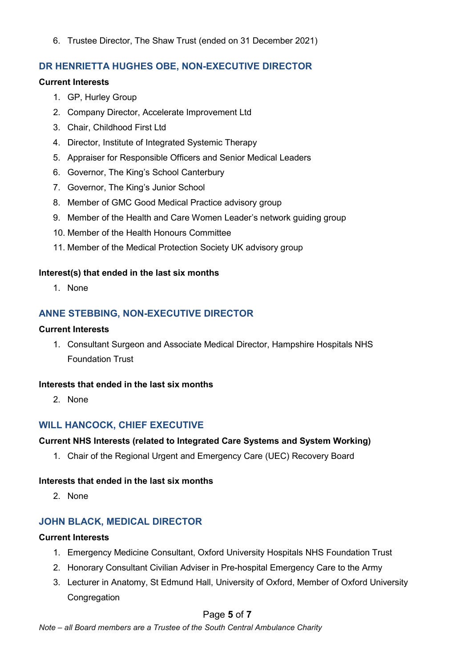6. Trustee Director, The Shaw Trust (ended on 31 December 2021)

## **DR HENRIETTA HUGHES OBE, NON-EXECUTIVE DIRECTOR**

## **Current Interests**

- 1. GP, Hurley Group
- 2. Company Director, Accelerate Improvement Ltd
- 3. Chair, Childhood First Ltd
- 4. Director, Institute of Integrated Systemic Therapy
- 5. Appraiser for Responsible Officers and Senior Medical Leaders
- 6. Governor, The King's School Canterbury
- 7. Governor, The King's Junior School
- 8. Member of GMC Good Medical Practice advisory group
- 9. Member of the Health and Care Women Leader's network guiding group
- 10. Member of the Health Honours Committee
- 11. Member of the Medical Protection Society UK advisory group

## **Interest(s) that ended in the last six months**

1. None

## **ANNE STEBBING, NON-EXECUTIVE DIRECTOR**

## **Current Interests**

1. Consultant Surgeon and Associate Medical Director, Hampshire Hospitals NHS Foundation Trust

## **Interests that ended in the last six months**

2. None

## **WILL HANCOCK, CHIEF EXECUTIVE**

## **Current NHS Interests (related to Integrated Care Systems and System Working)**

1. Chair of the Regional Urgent and Emergency Care (UEC) Recovery Board

## **Interests that ended in the last six months**

2. None

## **JOHN BLACK, MEDICAL DIRECTOR**

## **Current Interests**

- 1. Emergency Medicine Consultant, Oxford University Hospitals NHS Foundation Trust
- 2. Honorary Consultant Civilian Adviser in Pre-hospital Emergency Care to the Army
- 3. Lecturer in Anatomy, St Edmund Hall, University of Oxford, Member of Oxford University Congregation

## Page **5** of **7**

*Note – all Board members are a Trustee of the South Central Ambulance Charity*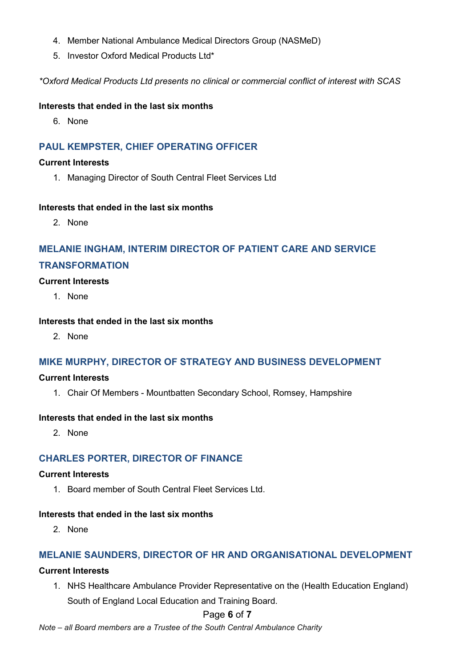- 4. Member National Ambulance Medical Directors Group (NASMeD)
- 5. Investor Oxford Medical Products Ltd\*

*\*Oxford Medical Products Ltd presents no clinical or commercial conflict of interest with SCAS*

## **Interests that ended in the last six months**

6. None

## **PAUL KEMPSTER, CHIEF OPERATING OFFICER**

## **Current Interests**

1. Managing Director of South Central Fleet Services Ltd

## **Interests that ended in the last six months**

2. None

# **MELANIE INGHAM, INTERIM DIRECTOR OF PATIENT CARE AND SERVICE TRANSFORMATION**

## **Current Interests**

1. None

## **Interests that ended in the last six months**

2. None

## **MIKE MURPHY, DIRECTOR OF STRATEGY AND BUSINESS DEVELOPMENT**

#### **Current Interests**

1. Chair Of Members - Mountbatten Secondary School, Romsey, Hampshire

#### **Interests that ended in the last six months**

2. None

## **CHARLES PORTER, DIRECTOR OF FINANCE**

#### **Current Interests**

1. Board member of South Central Fleet Services Ltd.

## **Interests that ended in the last six months**

2. None

## **MELANIE SAUNDERS, DIRECTOR OF HR AND ORGANISATIONAL DEVELOPMENT**

#### **Current Interests**

1. NHS Healthcare Ambulance Provider Representative on the (Health Education England) South of England Local Education and Training Board.

## Page **6** of **7**

*Note – all Board members are a Trustee of the South Central Ambulance Charity*